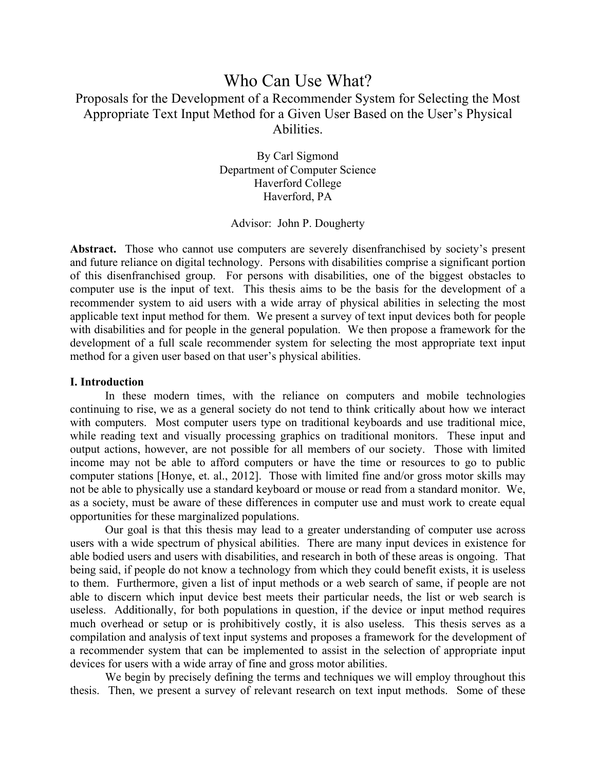# Who Can Use What? Proposals for the Development of a Recommender System for Selecting the Most Appropriate Text Input Method for a Given User Based on the User's Physical Abilities.

By Carl Sigmond Department of Computer Science Haverford College Haverford, PA

### Advisor: John P. Dougherty

Abstract. Those who cannot use computers are severely disenfranchised by society's present and future reliance on digital technology. Persons with disabilities comprise a significant portion of this disenfranchised group. For persons with disabilities, one of the biggest obstacles to computer use is the input of text. This thesis aims to be the basis for the development of a recommender system to aid users with a wide array of physical abilities in selecting the most applicable text input method for them. We present a survey of text input devices both for people with disabilities and for people in the general population. We then propose a framework for the development of a full scale recommender system for selecting the most appropriate text input method for a given user based on that user's physical abilities.

#### **I. Introduction**

In these modern times, with the reliance on computers and mobile technologies continuing to rise, we as a general society do not tend to think critically about how we interact with computers. Most computer users type on traditional keyboards and use traditional mice, while reading text and visually processing graphics on traditional monitors. These input and output actions, however, are not possible for all members of our society. Those with limited income may not be able to afford computers or have the time or resources to go to public computer stations [Honye, et. al., 2012]. Those with limited fine and/or gross motor skills may not be able to physically use a standard keyboard or mouse or read from a standard monitor. We, as a society, must be aware of these differences in computer use and must work to create equal opportunities for these marginalized populations.

Our goal is that this thesis may lead to a greater understanding of computer use across users with a wide spectrum of physical abilities. There are many input devices in existence for able bodied users and users with disabilities, and research in both of these areas is ongoing. That being said, if people do not know a technology from which they could benefit exists, it is useless to them. Furthermore, given a list of input methods or a web search of same, if people are not able to discern which input device best meets their particular needs, the list or web search is useless. Additionally, for both populations in question, if the device or input method requires much overhead or setup or is prohibitively costly, it is also useless. This thesis serves as a compilation and analysis of text input systems and proposes a framework for the development of a recommender system that can be implemented to assist in the selection of appropriate input devices for users with a wide array of fine and gross motor abilities.

We begin by precisely defining the terms and techniques we will employ throughout this thesis. Then, we present a survey of relevant research on text input methods. Some of these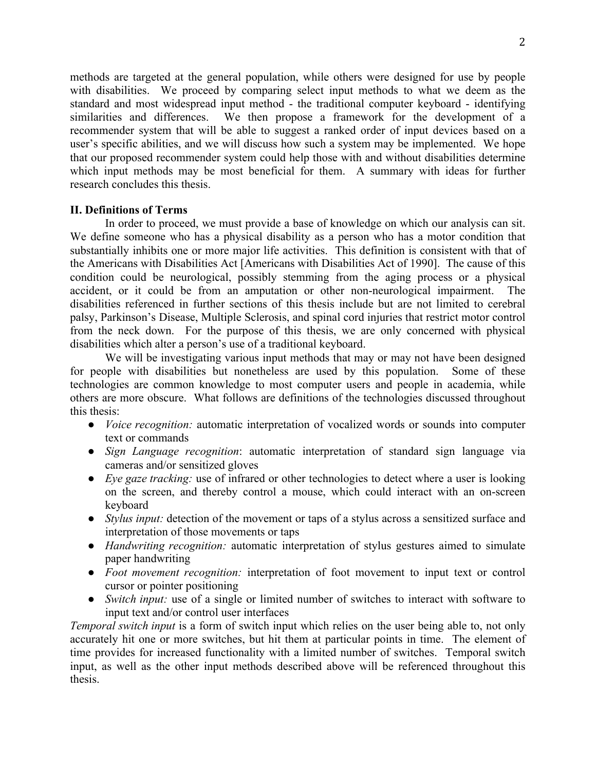methods are targeted at the general population, while others were designed for use by people with disabilities. We proceed by comparing select input methods to what we deem as the standard and most widespread input method - the traditional computer keyboard - identifying similarities and differences. We then propose a framework for the development of a recommender system that will be able to suggest a ranked order of input devices based on a user's specific abilities, and we will discuss how such a system may be implemented. We hope that our proposed recommender system could help those with and without disabilities determine which input methods may be most beneficial for them. A summary with ideas for further research concludes this thesis.

### **II. Definitions of Terms**

In order to proceed, we must provide a base of knowledge on which our analysis can sit. We define someone who has a physical disability as a person who has a motor condition that substantially inhibits one or more major life activities. This definition is consistent with that of the Americans with Disabilities Act [Americans with Disabilities Act of 1990]. The cause of this condition could be neurological, possibly stemming from the aging process or a physical accident, or it could be from an amputation or other non-neurological impairment. The disabilities referenced in further sections of this thesis include but are not limited to cerebral palsy, Parkinson's Disease, Multiple Sclerosis, and spinal cord injuries that restrict motor control from the neck down. For the purpose of this thesis, we are only concerned with physical disabilities which alter a person's use of a traditional keyboard.

We will be investigating various input methods that may or may not have been designed for people with disabilities but nonetheless are used by this population. Some of these technologies are common knowledge to most computer users and people in academia, while others are more obscure. What follows are definitions of the technologies discussed throughout this thesis:

- *Voice recognition:* automatic interpretation of vocalized words or sounds into computer text or commands
- *Sign Language recognition*: automatic interpretation of standard sign language via cameras and/or sensitized gloves
- *Eye gaze tracking:* use of infrared or other technologies to detect where a user is looking on the screen, and thereby control a mouse, which could interact with an on-screen keyboard
- *Stylus input:* detection of the movement or taps of a stylus across a sensitized surface and interpretation of those movements or taps
- *Handwriting recognition:* automatic interpretation of stylus gestures aimed to simulate paper handwriting
- *Foot movement recognition:* interpretation of foot movement to input text or control cursor or pointer positioning
- *Switch input:* use of a single or limited number of switches to interact with software to input text and/or control user interfaces

*Temporal switch input* is a form of switch input which relies on the user being able to, not only accurately hit one or more switches, but hit them at particular points in time. The element of time provides for increased functionality with a limited number of switches. Temporal switch input, as well as the other input methods described above will be referenced throughout this thesis.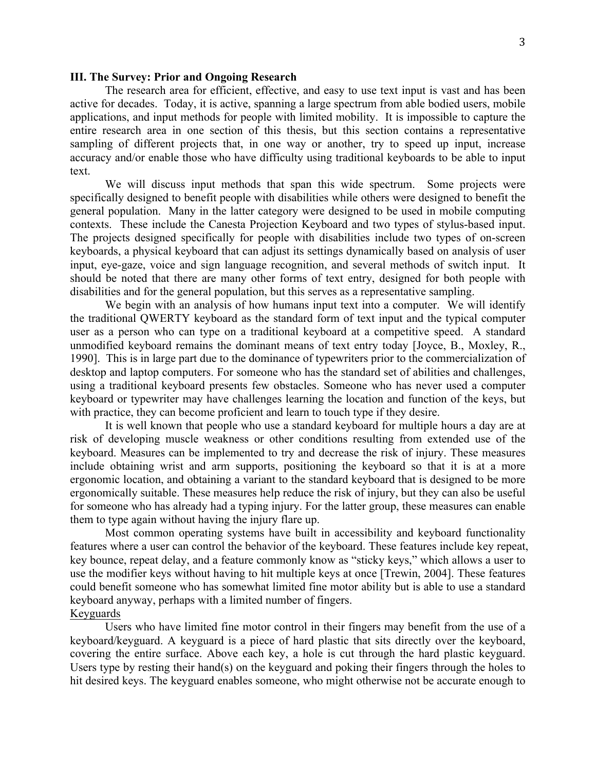#### **III. The Survey: Prior and Ongoing Research**

The research area for efficient, effective, and easy to use text input is vast and has been active for decades. Today, it is active, spanning a large spectrum from able bodied users, mobile applications, and input methods for people with limited mobility. It is impossible to capture the entire research area in one section of this thesis, but this section contains a representative sampling of different projects that, in one way or another, try to speed up input, increase accuracy and/or enable those who have difficulty using traditional keyboards to be able to input text.

We will discuss input methods that span this wide spectrum. Some projects were specifically designed to benefit people with disabilities while others were designed to benefit the general population. Many in the latter category were designed to be used in mobile computing contexts. These include the Canesta Projection Keyboard and two types of stylus-based input. The projects designed specifically for people with disabilities include two types of on-screen keyboards, a physical keyboard that can adjust its settings dynamically based on analysis of user input, eye-gaze, voice and sign language recognition, and several methods of switch input. It should be noted that there are many other forms of text entry, designed for both people with disabilities and for the general population, but this serves as a representative sampling.

We begin with an analysis of how humans input text into a computer. We will identify the traditional QWERTY keyboard as the standard form of text input and the typical computer user as a person who can type on a traditional keyboard at a competitive speed. A standard unmodified keyboard remains the dominant means of text entry today [Joyce, B., Moxley, R., 1990]. This is in large part due to the dominance of typewriters prior to the commercialization of desktop and laptop computers. For someone who has the standard set of abilities and challenges, using a traditional keyboard presents few obstacles. Someone who has never used a computer keyboard or typewriter may have challenges learning the location and function of the keys, but with practice, they can become proficient and learn to touch type if they desire.

It is well known that people who use a standard keyboard for multiple hours a day are at risk of developing muscle weakness or other conditions resulting from extended use of the keyboard. Measures can be implemented to try and decrease the risk of injury. These measures include obtaining wrist and arm supports, positioning the keyboard so that it is at a more ergonomic location, and obtaining a variant to the standard keyboard that is designed to be more ergonomically suitable. These measures help reduce the risk of injury, but they can also be useful for someone who has already had a typing injury. For the latter group, these measures can enable them to type again without having the injury flare up.

Most common operating systems have built in accessibility and keyboard functionality features where a user can control the behavior of the keyboard. These features include key repeat, key bounce, repeat delay, and a feature commonly know as "sticky keys," which allows a user to use the modifier keys without having to hit multiple keys at once [Trewin, 2004]. These features could benefit someone who has somewhat limited fine motor ability but is able to use a standard keyboard anyway, perhaps with a limited number of fingers.

### Keyguards

Users who have limited fine motor control in their fingers may benefit from the use of a keyboard/keyguard. A keyguard is a piece of hard plastic that sits directly over the keyboard, covering the entire surface. Above each key, a hole is cut through the hard plastic keyguard. Users type by resting their hand(s) on the keyguard and poking their fingers through the holes to hit desired keys. The keyguard enables someone, who might otherwise not be accurate enough to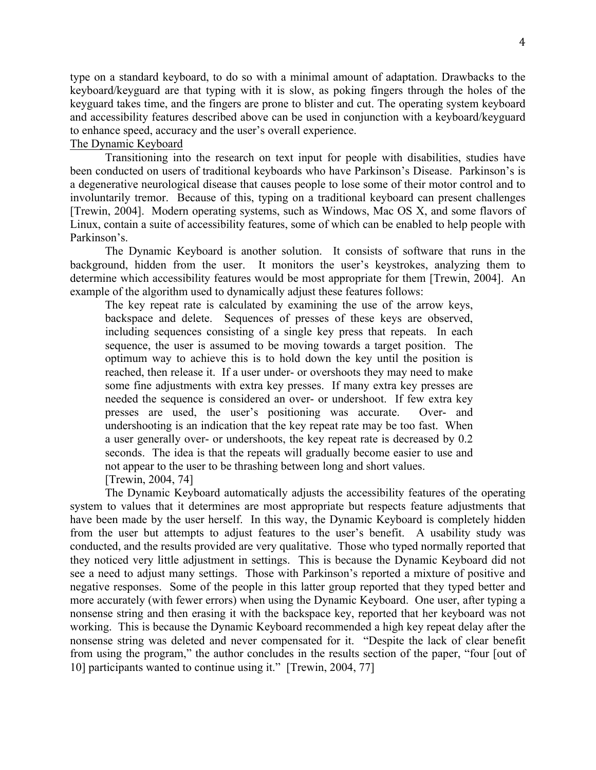type on a standard keyboard, to do so with a minimal amount of adaptation. Drawbacks to the keyboard/keyguard are that typing with it is slow, as poking fingers through the holes of the keyguard takes time, and the fingers are prone to blister and cut. The operating system keyboard and accessibility features described above can be used in conjunction with a keyboard/keyguard to enhance speed, accuracy and the user's overall experience.

### The Dynamic Keyboard

Transitioning into the research on text input for people with disabilities, studies have been conducted on users of traditional keyboards who have Parkinson's Disease. Parkinson's is a degenerative neurological disease that causes people to lose some of their motor control and to involuntarily tremor. Because of this, typing on a traditional keyboard can present challenges [Trewin, 2004]. Modern operating systems, such as Windows, Mac OS X, and some flavors of Linux, contain a suite of accessibility features, some of which can be enabled to help people with Parkinson's.

The Dynamic Keyboard is another solution. It consists of software that runs in the background, hidden from the user. It monitors the user's keystrokes, analyzing them to determine which accessibility features would be most appropriate for them [Trewin, 2004]. An example of the algorithm used to dynamically adjust these features follows:

The key repeat rate is calculated by examining the use of the arrow keys, backspace and delete. Sequences of presses of these keys are observed, including sequences consisting of a single key press that repeats. In each sequence, the user is assumed to be moving towards a target position. The optimum way to achieve this is to hold down the key until the position is reached, then release it. If a user under- or overshoots they may need to make some fine adjustments with extra key presses. If many extra key presses are needed the sequence is considered an over- or undershoot. If few extra key presses are used, the user's positioning was accurate. Over- and undershooting is an indication that the key repeat rate may be too fast. When a user generally over- or undershoots, the key repeat rate is decreased by 0.2 seconds. The idea is that the repeats will gradually become easier to use and not appear to the user to be thrashing between long and short values.

[Trewin, 2004, 74]

The Dynamic Keyboard automatically adjusts the accessibility features of the operating system to values that it determines are most appropriate but respects feature adjustments that have been made by the user herself. In this way, the Dynamic Keyboard is completely hidden from the user but attempts to adjust features to the user's benefit. A usability study was conducted, and the results provided are very qualitative. Those who typed normally reported that they noticed very little adjustment in settings. This is because the Dynamic Keyboard did not see a need to adjust many settings. Those with Parkinson's reported a mixture of positive and negative responses. Some of the people in this latter group reported that they typed better and more accurately (with fewer errors) when using the Dynamic Keyboard. One user, after typing a nonsense string and then erasing it with the backspace key, reported that her keyboard was not working. This is because the Dynamic Keyboard recommended a high key repeat delay after the nonsense string was deleted and never compensated for it. "Despite the lack of clear benefit from using the program," the author concludes in the results section of the paper, "four [out of 10] participants wanted to continue using it." [Trewin, 2004, 77]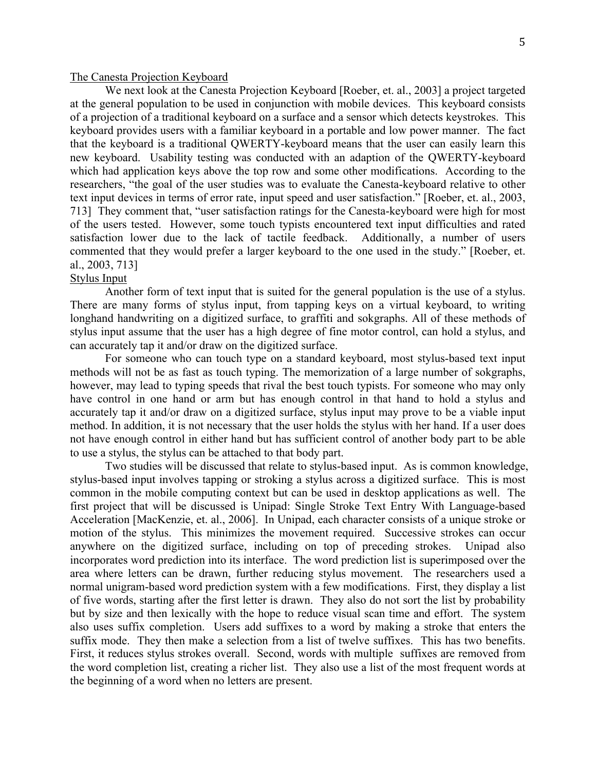#### The Canesta Projection Keyboard

We next look at the Canesta Projection Keyboard [Roeber, et. al., 2003] a project targeted at the general population to be used in conjunction with mobile devices. This keyboard consists of a projection of a traditional keyboard on a surface and a sensor which detects keystrokes. This keyboard provides users with a familiar keyboard in a portable and low power manner. The fact that the keyboard is a traditional QWERTY-keyboard means that the user can easily learn this new keyboard. Usability testing was conducted with an adaption of the QWERTY-keyboard which had application keys above the top row and some other modifications. According to the researchers, "the goal of the user studies was to evaluate the Canesta-keyboard relative to other text input devices in terms of error rate, input speed and user satisfaction." [Roeber, et. al., 2003, 713] They comment that, "user satisfaction ratings for the Canesta-keyboard were high for most of the users tested. However, some touch typists encountered text input difficulties and rated satisfaction lower due to the lack of tactile feedback. Additionally, a number of users commented that they would prefer a larger keyboard to the one used in the study." [Roeber, et. al., 2003, 713]

#### Stylus Input

Another form of text input that is suited for the general population is the use of a stylus. There are many forms of stylus input, from tapping keys on a virtual keyboard, to writing longhand handwriting on a digitized surface, to graffiti and sokgraphs. All of these methods of stylus input assume that the user has a high degree of fine motor control, can hold a stylus, and can accurately tap it and/or draw on the digitized surface.

For someone who can touch type on a standard keyboard, most stylus-based text input methods will not be as fast as touch typing. The memorization of a large number of sokgraphs, however, may lead to typing speeds that rival the best touch typists. For someone who may only have control in one hand or arm but has enough control in that hand to hold a stylus and accurately tap it and/or draw on a digitized surface, stylus input may prove to be a viable input method. In addition, it is not necessary that the user holds the stylus with her hand. If a user does not have enough control in either hand but has sufficient control of another body part to be able to use a stylus, the stylus can be attached to that body part.

Two studies will be discussed that relate to stylus-based input. As is common knowledge, stylus-based input involves tapping or stroking a stylus across a digitized surface. This is most common in the mobile computing context but can be used in desktop applications as well. The first project that will be discussed is Unipad: Single Stroke Text Entry With Language-based Acceleration [MacKenzie, et. al., 2006]. In Unipad, each character consists of a unique stroke or motion of the stylus. This minimizes the movement required. Successive strokes can occur anywhere on the digitized surface, including on top of preceding strokes. Unipad also incorporates word prediction into its interface. The word prediction list is superimposed over the area where letters can be drawn, further reducing stylus movement. The researchers used a normal unigram-based word prediction system with a few modifications. First, they display a list of five words, starting after the first letter is drawn. They also do not sort the list by probability but by size and then lexically with the hope to reduce visual scan time and effort. The system also uses suffix completion. Users add suffixes to a word by making a stroke that enters the suffix mode. They then make a selection from a list of twelve suffixes. This has two benefits. First, it reduces stylus strokes overall. Second, words with multiple suffixes are removed from the word completion list, creating a richer list. They also use a list of the most frequent words at the beginning of a word when no letters are present.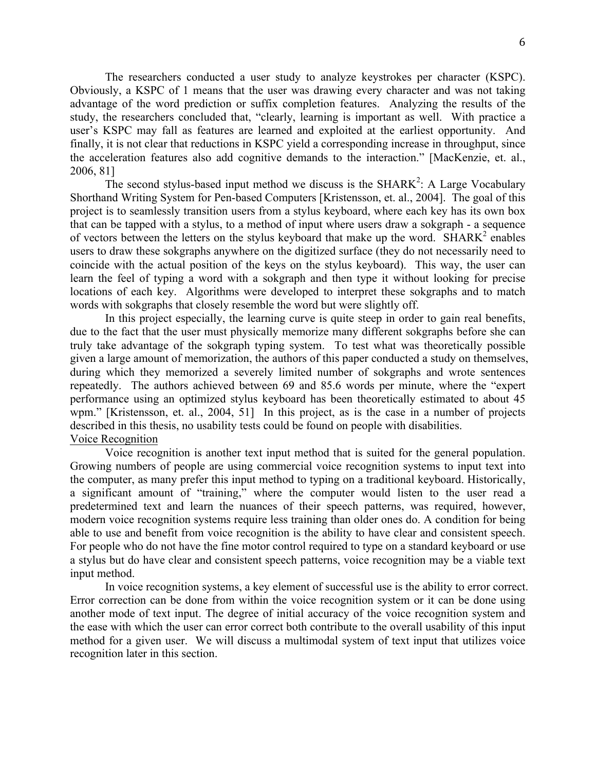The researchers conducted a user study to analyze keystrokes per character (KSPC). Obviously, a KSPC of 1 means that the user was drawing every character and was not taking advantage of the word prediction or suffix completion features. Analyzing the results of the study, the researchers concluded that, "clearly, learning is important as well. With practice a user's KSPC may fall as features are learned and exploited at the earliest opportunity. And finally, it is not clear that reductions in KSPC yield a corresponding increase in throughput, since the acceleration features also add cognitive demands to the interaction." [MacKenzie, et. al., 2006, 81]

The second stylus-based input method we discuss is the SHARK<sup>2</sup>: A Large Vocabulary Shorthand Writing System for Pen-based Computers [Kristensson, et. al., 2004]. The goal of this project is to seamlessly transition users from a stylus keyboard, where each key has its own box that can be tapped with a stylus, to a method of input where users draw a sokgraph - a sequence of vectors between the letters on the stylus keyboard that make up the word.  $SHARK<sup>2</sup>$  enables users to draw these sokgraphs anywhere on the digitized surface (they do not necessarily need to coincide with the actual position of the keys on the stylus keyboard). This way, the user can learn the feel of typing a word with a sokgraph and then type it without looking for precise locations of each key. Algorithms were developed to interpret these sokgraphs and to match words with sokgraphs that closely resemble the word but were slightly off.

In this project especially, the learning curve is quite steep in order to gain real benefits, due to the fact that the user must physically memorize many different sokgraphs before she can truly take advantage of the sokgraph typing system. To test what was theoretically possible given a large amount of memorization, the authors of this paper conducted a study on themselves, during which they memorized a severely limited number of sokgraphs and wrote sentences repeatedly. The authors achieved between 69 and 85.6 words per minute, where the "expert performance using an optimized stylus keyboard has been theoretically estimated to about 45 wpm." [Kristensson, et. al., 2004, 51] In this project, as is the case in a number of projects described in this thesis, no usability tests could be found on people with disabilities. Voice Recognition

Voice recognition is another text input method that is suited for the general population. Growing numbers of people are using commercial voice recognition systems to input text into the computer, as many prefer this input method to typing on a traditional keyboard. Historically, a significant amount of "training," where the computer would listen to the user read a predetermined text and learn the nuances of their speech patterns, was required, however, modern voice recognition systems require less training than older ones do. A condition for being able to use and benefit from voice recognition is the ability to have clear and consistent speech. For people who do not have the fine motor control required to type on a standard keyboard or use a stylus but do have clear and consistent speech patterns, voice recognition may be a viable text input method.

In voice recognition systems, a key element of successful use is the ability to error correct. Error correction can be done from within the voice recognition system or it can be done using another mode of text input. The degree of initial accuracy of the voice recognition system and the ease with which the user can error correct both contribute to the overall usability of this input method for a given user. We will discuss a multimodal system of text input that utilizes voice recognition later in this section.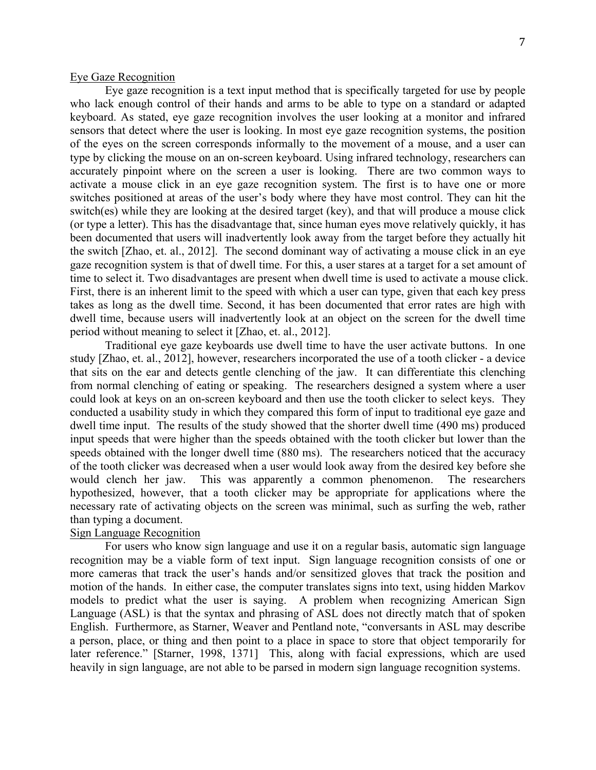#### Eye Gaze Recognition

Eye gaze recognition is a text input method that is specifically targeted for use by people who lack enough control of their hands and arms to be able to type on a standard or adapted keyboard. As stated, eye gaze recognition involves the user looking at a monitor and infrared sensors that detect where the user is looking. In most eye gaze recognition systems, the position of the eyes on the screen corresponds informally to the movement of a mouse, and a user can type by clicking the mouse on an on-screen keyboard. Using infrared technology, researchers can accurately pinpoint where on the screen a user is looking. There are two common ways to activate a mouse click in an eye gaze recognition system. The first is to have one or more switches positioned at areas of the user's body where they have most control. They can hit the switch(es) while they are looking at the desired target (key), and that will produce a mouse click (or type a letter). This has the disadvantage that, since human eyes move relatively quickly, it has been documented that users will inadvertently look away from the target before they actually hit the switch [Zhao, et. al., 2012]. The second dominant way of activating a mouse click in an eye gaze recognition system is that of dwell time. For this, a user stares at a target for a set amount of time to select it. Two disadvantages are present when dwell time is used to activate a mouse click. First, there is an inherent limit to the speed with which a user can type, given that each key press takes as long as the dwell time. Second, it has been documented that error rates are high with dwell time, because users will inadvertently look at an object on the screen for the dwell time period without meaning to select it [Zhao, et. al., 2012].

Traditional eye gaze keyboards use dwell time to have the user activate buttons. In one study [Zhao, et. al., 2012], however, researchers incorporated the use of a tooth clicker - a device that sits on the ear and detects gentle clenching of the jaw. It can differentiate this clenching from normal clenching of eating or speaking. The researchers designed a system where a user could look at keys on an on-screen keyboard and then use the tooth clicker to select keys. They conducted a usability study in which they compared this form of input to traditional eye gaze and dwell time input. The results of the study showed that the shorter dwell time (490 ms) produced input speeds that were higher than the speeds obtained with the tooth clicker but lower than the speeds obtained with the longer dwell time (880 ms). The researchers noticed that the accuracy of the tooth clicker was decreased when a user would look away from the desired key before she would clench her jaw. This was apparently a common phenomenon. The researchers hypothesized, however, that a tooth clicker may be appropriate for applications where the necessary rate of activating objects on the screen was minimal, such as surfing the web, rather than typing a document.

### Sign Language Recognition

For users who know sign language and use it on a regular basis, automatic sign language recognition may be a viable form of text input. Sign language recognition consists of one or more cameras that track the user's hands and/or sensitized gloves that track the position and motion of the hands. In either case, the computer translates signs into text, using hidden Markov models to predict what the user is saying. A problem when recognizing American Sign Language (ASL) is that the syntax and phrasing of ASL does not directly match that of spoken English. Furthermore, as Starner, Weaver and Pentland note, "conversants in ASL may describe a person, place, or thing and then point to a place in space to store that object temporarily for later reference." [Starner, 1998, 1371] This, along with facial expressions, which are used heavily in sign language, are not able to be parsed in modern sign language recognition systems.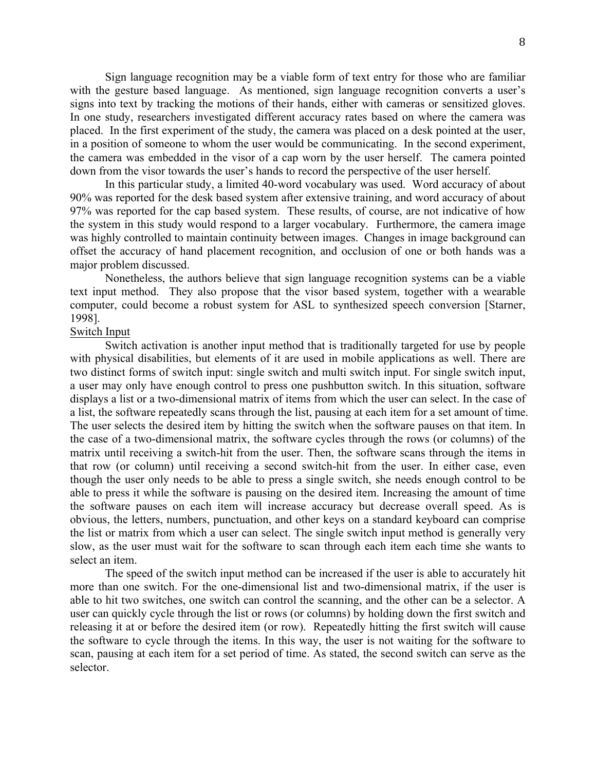Sign language recognition may be a viable form of text entry for those who are familiar with the gesture based language. As mentioned, sign language recognition converts a user's signs into text by tracking the motions of their hands, either with cameras or sensitized gloves. In one study, researchers investigated different accuracy rates based on where the camera was placed. In the first experiment of the study, the camera was placed on a desk pointed at the user, in a position of someone to whom the user would be communicating. In the second experiment, the camera was embedded in the visor of a cap worn by the user herself. The camera pointed down from the visor towards the user's hands to record the perspective of the user herself.

In this particular study, a limited 40-word vocabulary was used. Word accuracy of about 90% was reported for the desk based system after extensive training, and word accuracy of about 97% was reported for the cap based system. These results, of course, are not indicative of how the system in this study would respond to a larger vocabulary. Furthermore, the camera image was highly controlled to maintain continuity between images. Changes in image background can offset the accuracy of hand placement recognition, and occlusion of one or both hands was a major problem discussed.

Nonetheless, the authors believe that sign language recognition systems can be a viable text input method. They also propose that the visor based system, together with a wearable computer, could become a robust system for ASL to synthesized speech conversion [Starner, 1998].

### Switch Input

Switch activation is another input method that is traditionally targeted for use by people with physical disabilities, but elements of it are used in mobile applications as well. There are two distinct forms of switch input: single switch and multi switch input. For single switch input, a user may only have enough control to press one pushbutton switch. In this situation, software displays a list or a two-dimensional matrix of items from which the user can select. In the case of a list, the software repeatedly scans through the list, pausing at each item for a set amount of time. The user selects the desired item by hitting the switch when the software pauses on that item. In the case of a two-dimensional matrix, the software cycles through the rows (or columns) of the matrix until receiving a switch-hit from the user. Then, the software scans through the items in that row (or column) until receiving a second switch-hit from the user. In either case, even though the user only needs to be able to press a single switch, she needs enough control to be able to press it while the software is pausing on the desired item. Increasing the amount of time the software pauses on each item will increase accuracy but decrease overall speed. As is obvious, the letters, numbers, punctuation, and other keys on a standard keyboard can comprise the list or matrix from which a user can select. The single switch input method is generally very slow, as the user must wait for the software to scan through each item each time she wants to select an item.

The speed of the switch input method can be increased if the user is able to accurately hit more than one switch. For the one-dimensional list and two-dimensional matrix, if the user is able to hit two switches, one switch can control the scanning, and the other can be a selector. A user can quickly cycle through the list or rows (or columns) by holding down the first switch and releasing it at or before the desired item (or row). Repeatedly hitting the first switch will cause the software to cycle through the items. In this way, the user is not waiting for the software to scan, pausing at each item for a set period of time. As stated, the second switch can serve as the selector.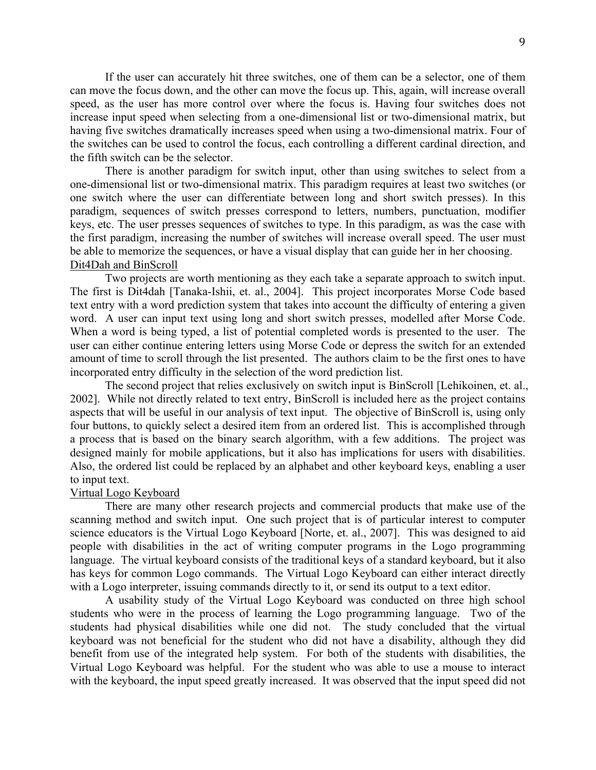If the user can accurately hit three switches, one of them can be a selector, one of them can move the focus down, and the other can move the focus up. This, again, will increase overall speed, as the user has more control over where the focus is. Having four switches does not increase input speed when selecting from a one-dimensional list or two-dimensional matrix, but having five switches dramatically increases speed when using a two-dimensional matrix. Four of the switches can be used to control the focus, each controlling a different cardinal direction, and the fifth switch can be the selector.

There is another paradigm for switch input, other than using switches to select from a one-dimensional list or two-dimensional matrix. This paradigm requires at least two switches (or one switch where the user can differentiate between long and short switch presses). In this paradigm, sequences of switch presses correspond to letters, numbers, punctuation, modifier keys, etc. The user presses sequences of switches to type. In this paradigm, as was the case with the first paradigm, increasing the number of switches will increase overall speed. The user must be able to memorize the sequences, or have a visual display that can guide her in her choosing. Dit4Dah and BinScroll

Two projects are worth mentioning as they each take a separate approach to switch input. The first is Dit4dah [Tanaka-Ishii, et. al., 2004]. This project incorporates Morse Code based text entry with a word prediction system that takes into account the difficulty of entering a given word. A user can input text using long and short switch presses, modelled after Morse Code. When a word is being typed, a list of potential completed words is presented to the user. The user can either continue entering letters using Morse Code or depress the switch for an extended amount of time to scroll through the list presented. The authors claim to be the first ones to have incorporated entry difficulty in the selection of the word prediction list.

The second project that relies exclusively on switch input is BinScroll [Lehikoinen, et. al., 2002]. While not directly related to text entry, BinScroll is included here as the project contains aspects that will be useful in our analysis of text input. The objective of BinScroll is, using only four buttons, to quickly select a desired item from an ordered list. This is accomplished through a process that is based on the binary search algorithm, with a few additions. The project was designed mainly for mobile applications, but it also has implications for users with disabilities. Also, the ordered list could be replaced by an alphabet and other keyboard keys, enabling a user to input text.

#### Virtual Logo Keyboard

There are many other research projects and commercial products that make use of the scanning method and switch input. One such project that is of particular interest to computer science educators is the Virtual Logo Keyboard [Norte, et. al., 2007]. This was designed to aid people with disabilities in the act of writing computer programs in the Logo programming language. The virtual keyboard consists of the traditional keys of a standard keyboard, but it also has keys for common Logo commands. The Virtual Logo Keyboard can either interact directly with a Logo interpreter, issuing commands directly to it, or send its output to a text editor.

A usability study of the Virtual Logo Keyboard was conducted on three high school students who were in the process of learning the Logo programming language. Two of the students had physical disabilities while one did not. The study concluded that the virtual keyboard was not beneficial for the student who did not have a disability, although they did benefit from use of the integrated help system. For both of the students with disabilities, the Virtual Logo Keyboard was helpful. For the student who was able to use a mouse to interact with the keyboard, the input speed greatly increased. It was observed that the input speed did not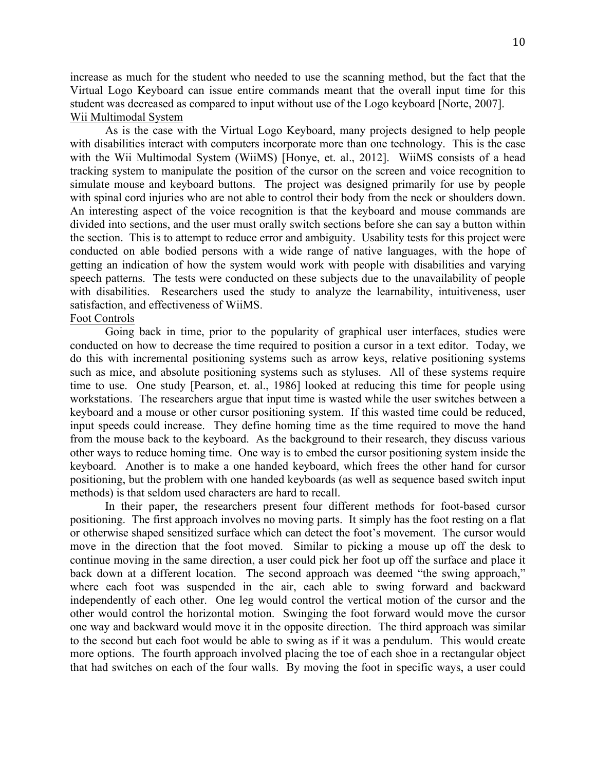increase as much for the student who needed to use the scanning method, but the fact that the Virtual Logo Keyboard can issue entire commands meant that the overall input time for this student was decreased as compared to input without use of the Logo keyboard [Norte, 2007]. Wii Multimodal System

As is the case with the Virtual Logo Keyboard, many projects designed to help people with disabilities interact with computers incorporate more than one technology. This is the case with the Wii Multimodal System (WiiMS) [Honye, et. al., 2012]. WiiMS consists of a head tracking system to manipulate the position of the cursor on the screen and voice recognition to simulate mouse and keyboard buttons. The project was designed primarily for use by people with spinal cord injuries who are not able to control their body from the neck or shoulders down. An interesting aspect of the voice recognition is that the keyboard and mouse commands are divided into sections, and the user must orally switch sections before she can say a button within the section. This is to attempt to reduce error and ambiguity. Usability tests for this project were conducted on able bodied persons with a wide range of native languages, with the hope of getting an indication of how the system would work with people with disabilities and varying speech patterns. The tests were conducted on these subjects due to the unavailability of people with disabilities. Researchers used the study to analyze the learnability, intuitiveness, user satisfaction, and effectiveness of WiiMS.

### Foot Controls

Going back in time, prior to the popularity of graphical user interfaces, studies were conducted on how to decrease the time required to position a cursor in a text editor. Today, we do this with incremental positioning systems such as arrow keys, relative positioning systems such as mice, and absolute positioning systems such as styluses. All of these systems require time to use. One study [Pearson, et. al., 1986] looked at reducing this time for people using workstations. The researchers argue that input time is wasted while the user switches between a keyboard and a mouse or other cursor positioning system. If this wasted time could be reduced, input speeds could increase. They define homing time as the time required to move the hand from the mouse back to the keyboard. As the background to their research, they discuss various other ways to reduce homing time. One way is to embed the cursor positioning system inside the keyboard. Another is to make a one handed keyboard, which frees the other hand for cursor positioning, but the problem with one handed keyboards (as well as sequence based switch input methods) is that seldom used characters are hard to recall.

In their paper, the researchers present four different methods for foot-based cursor positioning. The first approach involves no moving parts. It simply has the foot resting on a flat or otherwise shaped sensitized surface which can detect the foot's movement. The cursor would move in the direction that the foot moved. Similar to picking a mouse up off the desk to continue moving in the same direction, a user could pick her foot up off the surface and place it back down at a different location. The second approach was deemed "the swing approach," where each foot was suspended in the air, each able to swing forward and backward independently of each other. One leg would control the vertical motion of the cursor and the other would control the horizontal motion. Swinging the foot forward would move the cursor one way and backward would move it in the opposite direction. The third approach was similar to the second but each foot would be able to swing as if it was a pendulum. This would create more options. The fourth approach involved placing the toe of each shoe in a rectangular object that had switches on each of the four walls. By moving the foot in specific ways, a user could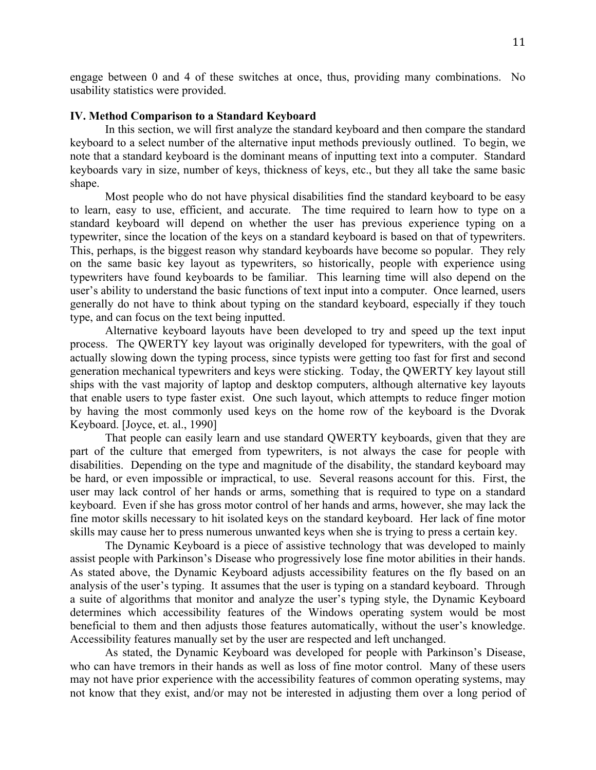engage between 0 and 4 of these switches at once, thus, providing many combinations. No usability statistics were provided.

#### **IV. Method Comparison to a Standard Keyboard**

In this section, we will first analyze the standard keyboard and then compare the standard keyboard to a select number of the alternative input methods previously outlined. To begin, we note that a standard keyboard is the dominant means of inputting text into a computer. Standard keyboards vary in size, number of keys, thickness of keys, etc., but they all take the same basic shape.

Most people who do not have physical disabilities find the standard keyboard to be easy to learn, easy to use, efficient, and accurate. The time required to learn how to type on a standard keyboard will depend on whether the user has previous experience typing on a typewriter, since the location of the keys on a standard keyboard is based on that of typewriters. This, perhaps, is the biggest reason why standard keyboards have become so popular. They rely on the same basic key layout as typewriters, so historically, people with experience using typewriters have found keyboards to be familiar. This learning time will also depend on the user's ability to understand the basic functions of text input into a computer. Once learned, users generally do not have to think about typing on the standard keyboard, especially if they touch type, and can focus on the text being inputted.

Alternative keyboard layouts have been developed to try and speed up the text input process. The QWERTY key layout was originally developed for typewriters, with the goal of actually slowing down the typing process, since typists were getting too fast for first and second generation mechanical typewriters and keys were sticking. Today, the QWERTY key layout still ships with the vast majority of laptop and desktop computers, although alternative key layouts that enable users to type faster exist. One such layout, which attempts to reduce finger motion by having the most commonly used keys on the home row of the keyboard is the Dvorak Keyboard. [Joyce, et. al., 1990]

That people can easily learn and use standard QWERTY keyboards, given that they are part of the culture that emerged from typewriters, is not always the case for people with disabilities. Depending on the type and magnitude of the disability, the standard keyboard may be hard, or even impossible or impractical, to use. Several reasons account for this. First, the user may lack control of her hands or arms, something that is required to type on a standard keyboard. Even if she has gross motor control of her hands and arms, however, she may lack the fine motor skills necessary to hit isolated keys on the standard keyboard. Her lack of fine motor skills may cause her to press numerous unwanted keys when she is trying to press a certain key.

The Dynamic Keyboard is a piece of assistive technology that was developed to mainly assist people with Parkinson's Disease who progressively lose fine motor abilities in their hands. As stated above, the Dynamic Keyboard adjusts accessibility features on the fly based on an analysis of the user's typing. It assumes that the user is typing on a standard keyboard. Through a suite of algorithms that monitor and analyze the user's typing style, the Dynamic Keyboard determines which accessibility features of the Windows operating system would be most beneficial to them and then adjusts those features automatically, without the user's knowledge. Accessibility features manually set by the user are respected and left unchanged.

As stated, the Dynamic Keyboard was developed for people with Parkinson's Disease, who can have tremors in their hands as well as loss of fine motor control. Many of these users may not have prior experience with the accessibility features of common operating systems, may not know that they exist, and/or may not be interested in adjusting them over a long period of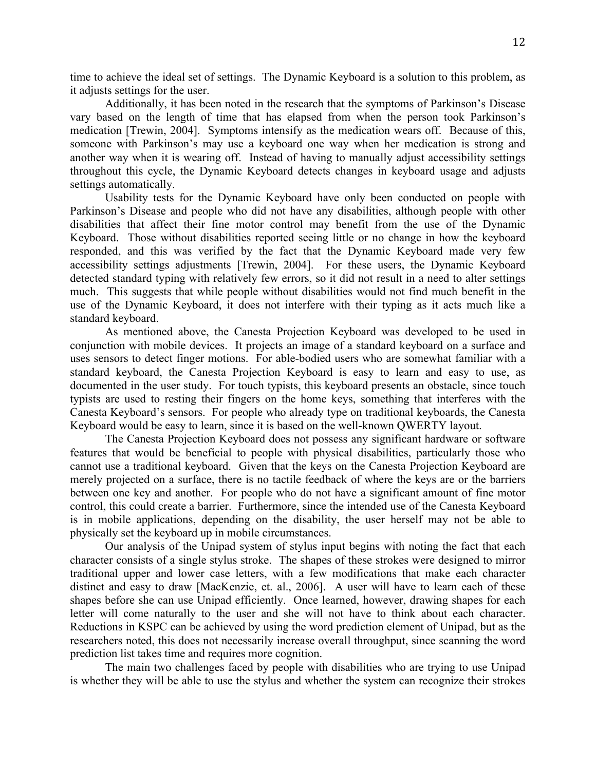time to achieve the ideal set of settings. The Dynamic Keyboard is a solution to this problem, as it adjusts settings for the user.

Additionally, it has been noted in the research that the symptoms of Parkinson's Disease vary based on the length of time that has elapsed from when the person took Parkinson's medication [Trewin, 2004]. Symptoms intensify as the medication wears off. Because of this, someone with Parkinson's may use a keyboard one way when her medication is strong and another way when it is wearing off. Instead of having to manually adjust accessibility settings throughout this cycle, the Dynamic Keyboard detects changes in keyboard usage and adjusts settings automatically.

Usability tests for the Dynamic Keyboard have only been conducted on people with Parkinson's Disease and people who did not have any disabilities, although people with other disabilities that affect their fine motor control may benefit from the use of the Dynamic Keyboard. Those without disabilities reported seeing little or no change in how the keyboard responded, and this was verified by the fact that the Dynamic Keyboard made very few accessibility settings adjustments [Trewin, 2004]. For these users, the Dynamic Keyboard detected standard typing with relatively few errors, so it did not result in a need to alter settings much. This suggests that while people without disabilities would not find much benefit in the use of the Dynamic Keyboard, it does not interfere with their typing as it acts much like a standard keyboard.

As mentioned above, the Canesta Projection Keyboard was developed to be used in conjunction with mobile devices. It projects an image of a standard keyboard on a surface and uses sensors to detect finger motions. For able-bodied users who are somewhat familiar with a standard keyboard, the Canesta Projection Keyboard is easy to learn and easy to use, as documented in the user study. For touch typists, this keyboard presents an obstacle, since touch typists are used to resting their fingers on the home keys, something that interferes with the Canesta Keyboard's sensors. For people who already type on traditional keyboards, the Canesta Keyboard would be easy to learn, since it is based on the well-known QWERTY layout.

The Canesta Projection Keyboard does not possess any significant hardware or software features that would be beneficial to people with physical disabilities, particularly those who cannot use a traditional keyboard. Given that the keys on the Canesta Projection Keyboard are merely projected on a surface, there is no tactile feedback of where the keys are or the barriers between one key and another. For people who do not have a significant amount of fine motor control, this could create a barrier. Furthermore, since the intended use of the Canesta Keyboard is in mobile applications, depending on the disability, the user herself may not be able to physically set the keyboard up in mobile circumstances.

Our analysis of the Unipad system of stylus input begins with noting the fact that each character consists of a single stylus stroke. The shapes of these strokes were designed to mirror traditional upper and lower case letters, with a few modifications that make each character distinct and easy to draw [MacKenzie, et. al., 2006]. A user will have to learn each of these shapes before she can use Unipad efficiently. Once learned, however, drawing shapes for each letter will come naturally to the user and she will not have to think about each character. Reductions in KSPC can be achieved by using the word prediction element of Unipad, but as the researchers noted, this does not necessarily increase overall throughput, since scanning the word prediction list takes time and requires more cognition.

The main two challenges faced by people with disabilities who are trying to use Unipad is whether they will be able to use the stylus and whether the system can recognize their strokes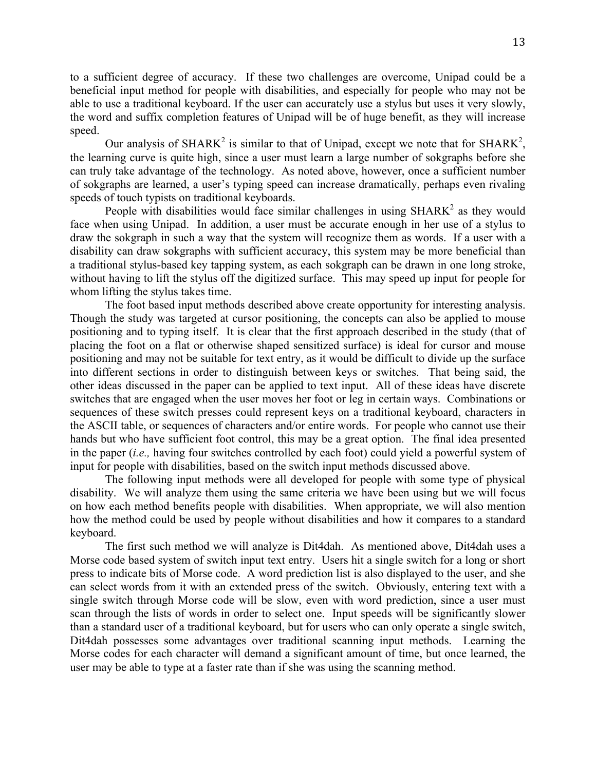to a sufficient degree of accuracy. If these two challenges are overcome, Unipad could be a beneficial input method for people with disabilities, and especially for people who may not be able to use a traditional keyboard. If the user can accurately use a stylus but uses it very slowly, the word and suffix completion features of Unipad will be of huge benefit, as they will increase speed.

Our analysis of SHARK<sup>2</sup> is similar to that of Unipad, except we note that for SHARK<sup>2</sup>, the learning curve is quite high, since a user must learn a large number of sokgraphs before she can truly take advantage of the technology. As noted above, however, once a sufficient number of sokgraphs are learned, a user's typing speed can increase dramatically, perhaps even rivaling speeds of touch typists on traditional keyboards.

People with disabilities would face similar challenges in using  $SHARK<sup>2</sup>$  as they would face when using Unipad. In addition, a user must be accurate enough in her use of a stylus to draw the sokgraph in such a way that the system will recognize them as words. If a user with a disability can draw sokgraphs with sufficient accuracy, this system may be more beneficial than a traditional stylus-based key tapping system, as each sokgraph can be drawn in one long stroke, without having to lift the stylus off the digitized surface. This may speed up input for people for whom lifting the stylus takes time.

The foot based input methods described above create opportunity for interesting analysis. Though the study was targeted at cursor positioning, the concepts can also be applied to mouse positioning and to typing itself. It is clear that the first approach described in the study (that of placing the foot on a flat or otherwise shaped sensitized surface) is ideal for cursor and mouse positioning and may not be suitable for text entry, as it would be difficult to divide up the surface into different sections in order to distinguish between keys or switches. That being said, the other ideas discussed in the paper can be applied to text input. All of these ideas have discrete switches that are engaged when the user moves her foot or leg in certain ways. Combinations or sequences of these switch presses could represent keys on a traditional keyboard, characters in the ASCII table, or sequences of characters and/or entire words. For people who cannot use their hands but who have sufficient foot control, this may be a great option. The final idea presented in the paper (*i.e.,* having four switches controlled by each foot) could yield a powerful system of input for people with disabilities, based on the switch input methods discussed above.

The following input methods were all developed for people with some type of physical disability. We will analyze them using the same criteria we have been using but we will focus on how each method benefits people with disabilities. When appropriate, we will also mention how the method could be used by people without disabilities and how it compares to a standard keyboard.

The first such method we will analyze is Dit4dah. As mentioned above, Dit4dah uses a Morse code based system of switch input text entry. Users hit a single switch for a long or short press to indicate bits of Morse code. A word prediction list is also displayed to the user, and she can select words from it with an extended press of the switch. Obviously, entering text with a single switch through Morse code will be slow, even with word prediction, since a user must scan through the lists of words in order to select one. Input speeds will be significantly slower than a standard user of a traditional keyboard, but for users who can only operate a single switch, Dit4dah possesses some advantages over traditional scanning input methods. Learning the Morse codes for each character will demand a significant amount of time, but once learned, the user may be able to type at a faster rate than if she was using the scanning method.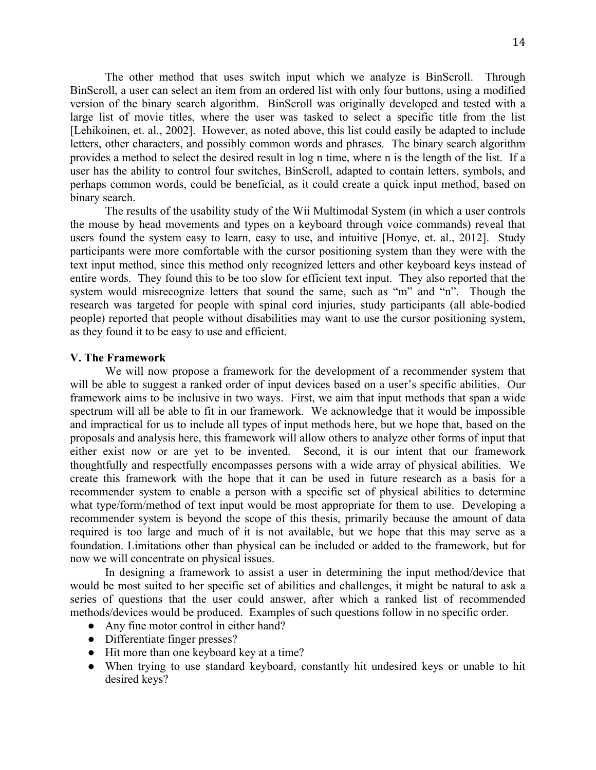The other method that uses switch input which we analyze is BinScroll. Through BinScroll, a user can select an item from an ordered list with only four buttons, using a modified version of the binary search algorithm. BinScroll was originally developed and tested with a large list of movie titles, where the user was tasked to select a specific title from the list [Lehikoinen, et. al., 2002]. However, as noted above, this list could easily be adapted to include letters, other characters, and possibly common words and phrases. The binary search algorithm provides a method to select the desired result in log n time, where n is the length of the list. If a user has the ability to control four switches, BinScroll, adapted to contain letters, symbols, and perhaps common words, could be beneficial, as it could create a quick input method, based on binary search.

The results of the usability study of the Wii Multimodal System (in which a user controls the mouse by head movements and types on a keyboard through voice commands) reveal that users found the system easy to learn, easy to use, and intuitive [Honye, et. al., 2012]. Study participants were more comfortable with the cursor positioning system than they were with the text input method, since this method only recognized letters and other keyboard keys instead of entire words. They found this to be too slow for efficient text input. They also reported that the system would misrecognize letters that sound the same, such as "m" and "n". Though the research was targeted for people with spinal cord injuries, study participants (all able-bodied people) reported that people without disabilities may want to use the cursor positioning system, as they found it to be easy to use and efficient.

#### **V. The Framework**

We will now propose a framework for the development of a recommender system that will be able to suggest a ranked order of input devices based on a user's specific abilities. Our framework aims to be inclusive in two ways. First, we aim that input methods that span a wide spectrum will all be able to fit in our framework. We acknowledge that it would be impossible and impractical for us to include all types of input methods here, but we hope that, based on the proposals and analysis here, this framework will allow others to analyze other forms of input that either exist now or are yet to be invented. Second, it is our intent that our framework thoughtfully and respectfully encompasses persons with a wide array of physical abilities. We create this framework with the hope that it can be used in future research as a basis for a recommender system to enable a person with a specific set of physical abilities to determine what type/form/method of text input would be most appropriate for them to use. Developing a recommender system is beyond the scope of this thesis, primarily because the amount of data required is too large and much of it is not available, but we hope that this may serve as a foundation. Limitations other than physical can be included or added to the framework, but for now we will concentrate on physical issues.

In designing a framework to assist a user in determining the input method/device that would be most suited to her specific set of abilities and challenges, it might be natural to ask a series of questions that the user could answer, after which a ranked list of recommended methods/devices would be produced. Examples of such questions follow in no specific order.

- Any fine motor control in either hand?
- Differentiate finger presses?
- Hit more than one keyboard key at a time?
- When trying to use standard keyboard, constantly hit undesired keys or unable to hit desired keys?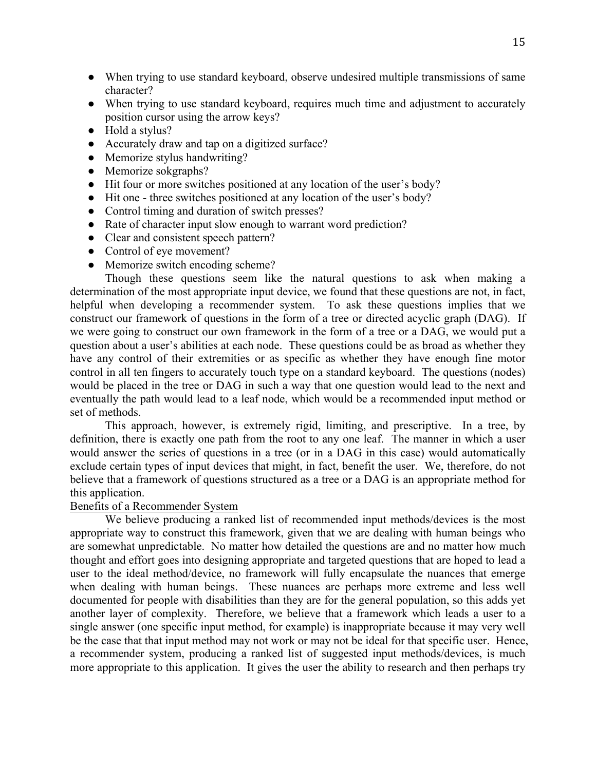- When trying to use standard keyboard, observe undesired multiple transmissions of same character?
- When trying to use standard keyboard, requires much time and adjustment to accurately position cursor using the arrow keys?
- Hold a stylus?
- Accurately draw and tap on a digitized surface?
- Memorize stylus handwriting?
- Memorize sokgraphs?
- Hit four or more switches positioned at any location of the user's body?
- Hit one three switches positioned at any location of the user's body?
- Control timing and duration of switch presses?
- Rate of character input slow enough to warrant word prediction?
- Clear and consistent speech pattern?
- Control of eye movement?
- Memorize switch encoding scheme?

Though these questions seem like the natural questions to ask when making a determination of the most appropriate input device, we found that these questions are not, in fact, helpful when developing a recommender system. To ask these questions implies that we construct our framework of questions in the form of a tree or directed acyclic graph (DAG). If we were going to construct our own framework in the form of a tree or a DAG, we would put a question about a user's abilities at each node. These questions could be as broad as whether they have any control of their extremities or as specific as whether they have enough fine motor control in all ten fingers to accurately touch type on a standard keyboard. The questions (nodes) would be placed in the tree or DAG in such a way that one question would lead to the next and eventually the path would lead to a leaf node, which would be a recommended input method or set of methods.

This approach, however, is extremely rigid, limiting, and prescriptive. In a tree, by definition, there is exactly one path from the root to any one leaf. The manner in which a user would answer the series of questions in a tree (or in a DAG in this case) would automatically exclude certain types of input devices that might, in fact, benefit the user. We, therefore, do not believe that a framework of questions structured as a tree or a DAG is an appropriate method for this application.

#### Benefits of a Recommender System

We believe producing a ranked list of recommended input methods/devices is the most appropriate way to construct this framework, given that we are dealing with human beings who are somewhat unpredictable. No matter how detailed the questions are and no matter how much thought and effort goes into designing appropriate and targeted questions that are hoped to lead a user to the ideal method/device, no framework will fully encapsulate the nuances that emerge when dealing with human beings. These nuances are perhaps more extreme and less well documented for people with disabilities than they are for the general population, so this adds yet another layer of complexity. Therefore, we believe that a framework which leads a user to a single answer (one specific input method, for example) is inappropriate because it may very well be the case that that input method may not work or may not be ideal for that specific user. Hence, a recommender system, producing a ranked list of suggested input methods/devices, is much more appropriate to this application. It gives the user the ability to research and then perhaps try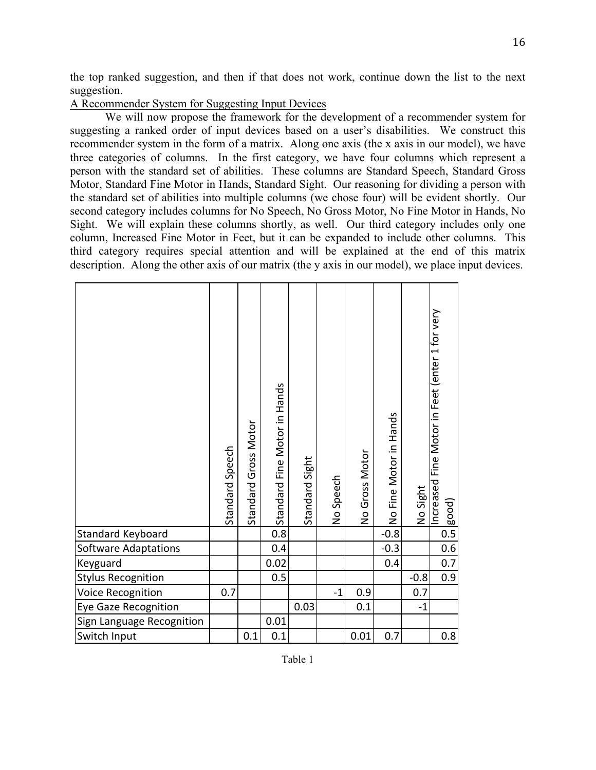the top ranked suggestion, and then if that does not work, continue down the list to the next suggestion.

### A Recommender System for Suggesting Input Devices

We will now propose the framework for the development of a recommender system for suggesting a ranked order of input devices based on a user's disabilities. We construct this recommender system in the form of a matrix. Along one axis (the x axis in our model), we have three categories of columns. In the first category, we have four columns which represent a person with the standard set of abilities. These columns are Standard Speech, Standard Gross Motor, Standard Fine Motor in Hands, Standard Sight. Our reasoning for dividing a person with the standard set of abilities into multiple columns (we chose four) will be evident shortly. Our second category includes columns for No Speech, No Gross Motor, No Fine Motor in Hands, No Sight. We will explain these columns shortly, as well. Our third category includes only one column, Increased Fine Motor in Feet, but it can be expanded to include other columns. This third category requires special attention and will be explained at the end of this matrix description. Along the other axis of our matrix (the y axis in our model), we place input devices.

|                             | Standard Speech | Standard Gross Motor | Standard Fine Motor in Hands | Standard Sight | No Speech | No Gross Motor | No Fine Motor in Hands | No Sight | ncreased Fine Motor in Feet (enter 1 for very<br>[good] |
|-----------------------------|-----------------|----------------------|------------------------------|----------------|-----------|----------------|------------------------|----------|---------------------------------------------------------|
| <b>Standard Keyboard</b>    |                 |                      | 0.8                          |                |           |                | $-0.8$                 |          | $\overline{0.5}$                                        |
| <b>Software Adaptations</b> |                 |                      | 0.4                          |                |           |                | $-0.3$                 |          | 0.6                                                     |
| Keyguard                    |                 |                      | 0.02                         |                |           |                | 0.4                    |          | 0.7                                                     |
| <b>Stylus Recognition</b>   |                 |                      | 0.5                          |                |           |                |                        | $-0.8$   | 0.9                                                     |
| Voice Recognition           | 0.7             |                      |                              |                | $-1$      | 0.9            |                        | 0.7      |                                                         |
| <b>Eye Gaze Recognition</b> |                 |                      |                              | 0.03           |           | 0.1            |                        | $-1$     |                                                         |
| Sign Language Recognition   |                 |                      | 0.01                         |                |           |                |                        |          |                                                         |
| Switch Input                |                 | 0.1                  | 0.1                          |                |           | 0.01           | 0.7                    |          | 0.8                                                     |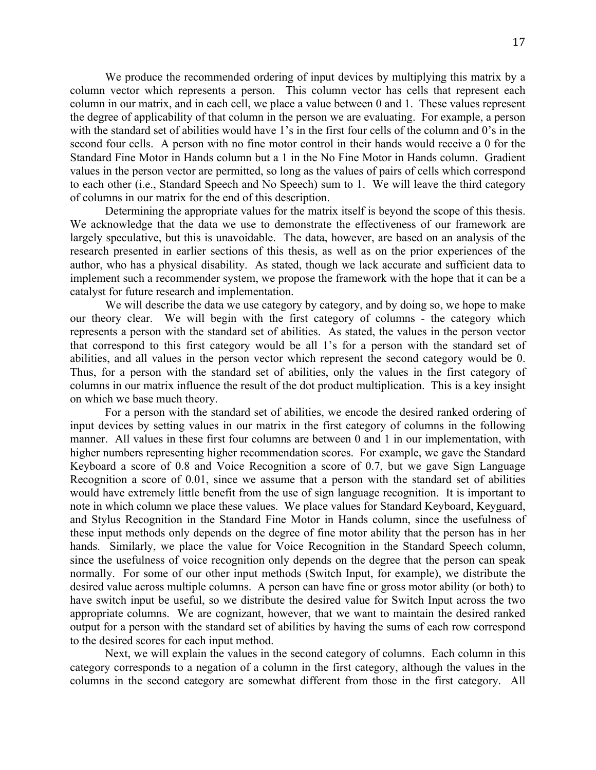We produce the recommended ordering of input devices by multiplying this matrix by a column vector which represents a person. This column vector has cells that represent each column in our matrix, and in each cell, we place a value between 0 and 1. These values represent the degree of applicability of that column in the person we are evaluating. For example, a person with the standard set of abilities would have 1's in the first four cells of the column and 0's in the second four cells. A person with no fine motor control in their hands would receive a 0 for the Standard Fine Motor in Hands column but a 1 in the No Fine Motor in Hands column. Gradient values in the person vector are permitted, so long as the values of pairs of cells which correspond to each other (i.e., Standard Speech and No Speech) sum to 1. We will leave the third category of columns in our matrix for the end of this description.

Determining the appropriate values for the matrix itself is beyond the scope of this thesis. We acknowledge that the data we use to demonstrate the effectiveness of our framework are largely speculative, but this is unavoidable. The data, however, are based on an analysis of the research presented in earlier sections of this thesis, as well as on the prior experiences of the author, who has a physical disability. As stated, though we lack accurate and sufficient data to implement such a recommender system, we propose the framework with the hope that it can be a catalyst for future research and implementation.

We will describe the data we use category by category, and by doing so, we hope to make our theory clear. We will begin with the first category of columns - the category which represents a person with the standard set of abilities. As stated, the values in the person vector that correspond to this first category would be all 1's for a person with the standard set of abilities, and all values in the person vector which represent the second category would be 0. Thus, for a person with the standard set of abilities, only the values in the first category of columns in our matrix influence the result of the dot product multiplication. This is a key insight on which we base much theory.

For a person with the standard set of abilities, we encode the desired ranked ordering of input devices by setting values in our matrix in the first category of columns in the following manner. All values in these first four columns are between 0 and 1 in our implementation, with higher numbers representing higher recommendation scores. For example, we gave the Standard Keyboard a score of 0.8 and Voice Recognition a score of 0.7, but we gave Sign Language Recognition a score of 0.01, since we assume that a person with the standard set of abilities would have extremely little benefit from the use of sign language recognition. It is important to note in which column we place these values. We place values for Standard Keyboard, Keyguard, and Stylus Recognition in the Standard Fine Motor in Hands column, since the usefulness of these input methods only depends on the degree of fine motor ability that the person has in her hands. Similarly, we place the value for Voice Recognition in the Standard Speech column, since the usefulness of voice recognition only depends on the degree that the person can speak normally. For some of our other input methods (Switch Input, for example), we distribute the desired value across multiple columns. A person can have fine or gross motor ability (or both) to have switch input be useful, so we distribute the desired value for Switch Input across the two appropriate columns. We are cognizant, however, that we want to maintain the desired ranked output for a person with the standard set of abilities by having the sums of each row correspond to the desired scores for each input method.

Next, we will explain the values in the second category of columns. Each column in this category corresponds to a negation of a column in the first category, although the values in the columns in the second category are somewhat different from those in the first category. All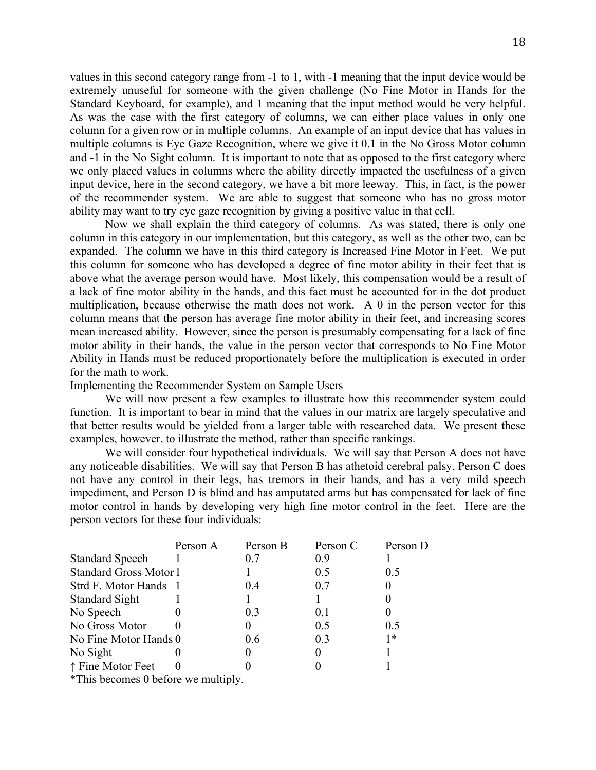values in this second category range from -1 to 1, with -1 meaning that the input device would be extremely unuseful for someone with the given challenge (No Fine Motor in Hands for the Standard Keyboard, for example), and 1 meaning that the input method would be very helpful. As was the case with the first category of columns, we can either place values in only one column for a given row or in multiple columns. An example of an input device that has values in multiple columns is Eye Gaze Recognition, where we give it 0.1 in the No Gross Motor column and -1 in the No Sight column. It is important to note that as opposed to the first category where we only placed values in columns where the ability directly impacted the usefulness of a given input device, here in the second category, we have a bit more leeway. This, in fact, is the power of the recommender system. We are able to suggest that someone who has no gross motor ability may want to try eye gaze recognition by giving a positive value in that cell.

Now we shall explain the third category of columns. As was stated, there is only one column in this category in our implementation, but this category, as well as the other two, can be expanded. The column we have in this third category is Increased Fine Motor in Feet. We put this column for someone who has developed a degree of fine motor ability in their feet that is above what the average person would have. Most likely, this compensation would be a result of a lack of fine motor ability in the hands, and this fact must be accounted for in the dot product multiplication, because otherwise the math does not work. A 0 in the person vector for this column means that the person has average fine motor ability in their feet, and increasing scores mean increased ability. However, since the person is presumably compensating for a lack of fine motor ability in their hands, the value in the person vector that corresponds to No Fine Motor Ability in Hands must be reduced proportionately before the multiplication is executed in order for the math to work.

### Implementing the Recommender System on Sample Users

We will now present a few examples to illustrate how this recommender system could function. It is important to bear in mind that the values in our matrix are largely speculative and that better results would be yielded from a larger table with researched data. We present these examples, however, to illustrate the method, rather than specific rankings.

We will consider four hypothetical individuals. We will say that Person A does not have any noticeable disabilities. We will say that Person B has athetoid cerebral palsy, Person C does not have any control in their legs, has tremors in their hands, and has a very mild speech impediment, and Person D is blind and has amputated arms but has compensated for lack of fine motor control in hands by developing very high fine motor control in the feet. Here are the person vectors for these four individuals:

|                               | Person A | Person B | Person C | Person D |
|-------------------------------|----------|----------|----------|----------|
| <b>Standard Speech</b>        |          | 0.7      | 0.9      |          |
| <b>Standard Gross Motor 1</b> |          |          | 0.5      | 0.5      |
| Strd F. Motor Hands 1         |          | 0.4      | 0.7      |          |
| <b>Standard Sight</b>         |          |          |          |          |
| No Speech                     |          | 0.3      | 0.1      |          |
| No Gross Motor                |          |          | 0.5      | 0.5      |
| No Fine Motor Hands 0         |          | 0.6      | 0.3      | 1*       |
| No Sight                      |          |          |          |          |
| ↑ Fine Motor Feet             |          |          |          |          |
|                               |          |          |          |          |

\*This becomes 0 before we multiply.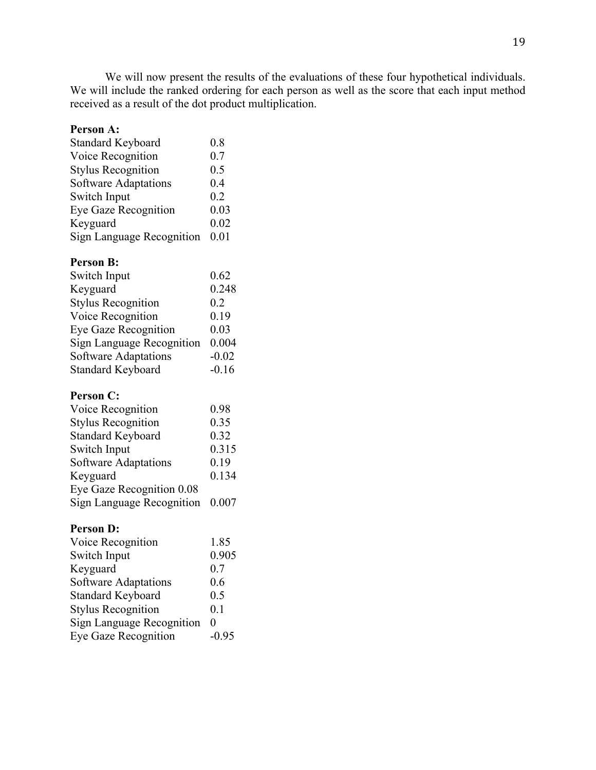We will now present the results of the evaluations of these four hypothetical individuals. We will include the ranked ordering for each person as well as the score that each input method received as a result of the dot product multiplication.

# **Person A:**

| <b>Standard Keyboard</b>         | 0.8  |
|----------------------------------|------|
| Voice Recognition                | 0.7  |
| <b>Stylus Recognition</b>        | 0.5  |
| Software Adaptations             | 0.4  |
| Switch Input                     | 0.2  |
| Eye Gaze Recognition             | 0.03 |
| Keyguard                         | 0.02 |
| <b>Sign Language Recognition</b> | 0.01 |

# **Person B:**

| Switch Input                     | 0.62    |
|----------------------------------|---------|
| Keyguard                         | 0.248   |
| <b>Stylus Recognition</b>        | 0.2     |
| Voice Recognition                | 0.19    |
| Eye Gaze Recognition             | 0.03    |
| <b>Sign Language Recognition</b> | 0.004   |
| Software Adaptations             | $-0.02$ |
| <b>Standard Keyboard</b>         | $-0.16$ |

## **Person C:**

| Voice Recognition                | 0.98  |
|----------------------------------|-------|
| <b>Stylus Recognition</b>        | 0.35  |
| <b>Standard Keyboard</b>         | 0.32  |
| Switch Input                     | 0.315 |
| Software Adaptations             | 0.19  |
| Keyguard                         | 0.134 |
| Eye Gaze Recognition 0.08        |       |
| <b>Sign Language Recognition</b> | 0.007 |

### **Person D:**

| Voice Recognition                | 1.85     |
|----------------------------------|----------|
| Switch Input                     | 0.905    |
| Keyguard                         | 0.7      |
| Software Adaptations             | 0.6      |
| <b>Standard Keyboard</b>         | 0.5      |
| <b>Stylus Recognition</b>        | 0.1      |
| <b>Sign Language Recognition</b> | $\theta$ |
| <b>Eye Gaze Recognition</b>      | $-0.95$  |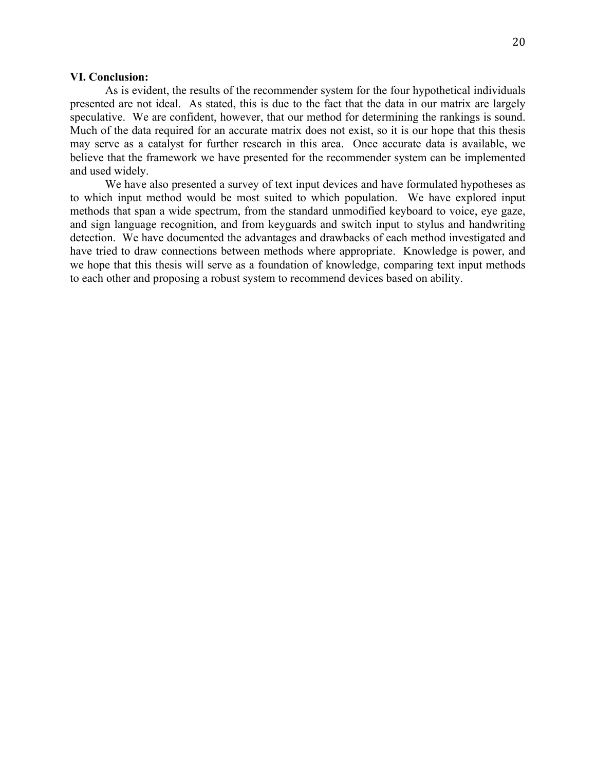### **VI. Conclusion:**

As is evident, the results of the recommender system for the four hypothetical individuals presented are not ideal. As stated, this is due to the fact that the data in our matrix are largely speculative. We are confident, however, that our method for determining the rankings is sound. Much of the data required for an accurate matrix does not exist, so it is our hope that this thesis may serve as a catalyst for further research in this area. Once accurate data is available, we believe that the framework we have presented for the recommender system can be implemented and used widely.

We have also presented a survey of text input devices and have formulated hypotheses as to which input method would be most suited to which population. We have explored input methods that span a wide spectrum, from the standard unmodified keyboard to voice, eye gaze, and sign language recognition, and from keyguards and switch input to stylus and handwriting detection. We have documented the advantages and drawbacks of each method investigated and have tried to draw connections between methods where appropriate. Knowledge is power, and we hope that this thesis will serve as a foundation of knowledge, comparing text input methods to each other and proposing a robust system to recommend devices based on ability.